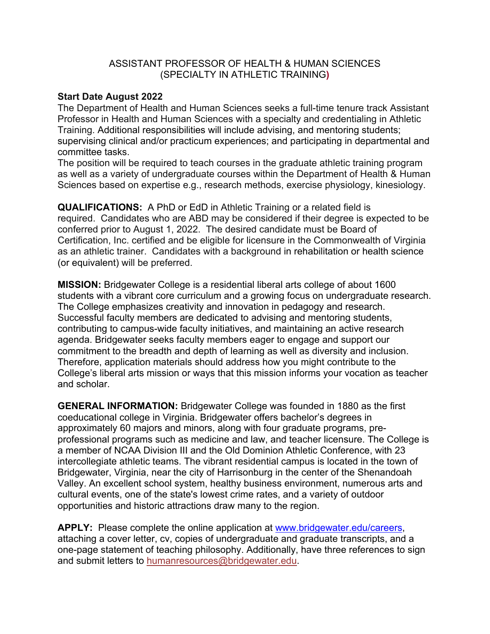## ASSISTANT PROFESSOR OF HEALTH & HUMAN SCIENCES (SPECIALTY IN ATHLETIC TRAINING**)**

## **Start Date August 2022**

The Department of Health and Human Sciences seeks a full-time tenure track Assistant Professor in Health and Human Sciences with a specialty and credentialing in Athletic Training. Additional responsibilities will include advising, and mentoring students; supervising clinical and/or practicum experiences; and participating in departmental and committee tasks.

The position will be required to teach courses in the graduate athletic training program as well as a variety of undergraduate courses within the Department of Health & Human Sciences based on expertise e.g., research methods, exercise physiology, kinesiology.

**QUALIFICATIONS:** A PhD or EdD in Athletic Training or a related field is required. Candidates who are ABD may be considered if their degree is expected to be conferred prior to August 1, 2022. The desired candidate must be Board of Certification, Inc. certified and be eligible for licensure in the Commonwealth of Virginia as an athletic trainer. Candidates with a background in rehabilitation or health science (or equivalent) will be preferred.

**MISSION:** Bridgewater College is a residential liberal arts college of about 1600 students with a vibrant core curriculum and a growing focus on undergraduate research. The College emphasizes creativity and innovation in pedagogy and research. Successful faculty members are dedicated to advising and mentoring students, contributing to campus-wide faculty initiatives, and maintaining an active research agenda. Bridgewater seeks faculty members eager to engage and support our commitment to the breadth and depth of learning as well as diversity and inclusion. Therefore, application materials should address how you might contribute to the College's liberal arts mission or ways that this mission informs your vocation as teacher and scholar.

**GENERAL INFORMATION:** Bridgewater College was founded in 1880 as the first coeducational college in Virginia. Bridgewater offers bachelor's degrees in approximately 60 majors and minors, along with four graduate programs, preprofessional programs such as medicine and law, and teacher licensure. The College is a member of NCAA Division III and the Old Dominion Athletic Conference, with 23 intercollegiate athletic teams. The vibrant residential campus is located in the town of Bridgewater, Virginia, near the city of Harrisonburg in the center of the Shenandoah Valley. An excellent school system, healthy business environment, numerous arts and cultural events, one of the state's lowest crime rates, and a variety of outdoor opportunities and historic attractions draw many to the region.

**APPLY:** Please complete the online application at www.bridgewater.edu/careers, attaching a cover letter, cv, copies of undergraduate and graduate transcripts, and a one-page statement of teaching philosophy. Additionally, have three references to sign and submit letters to humanresources@bridgewater.edu.